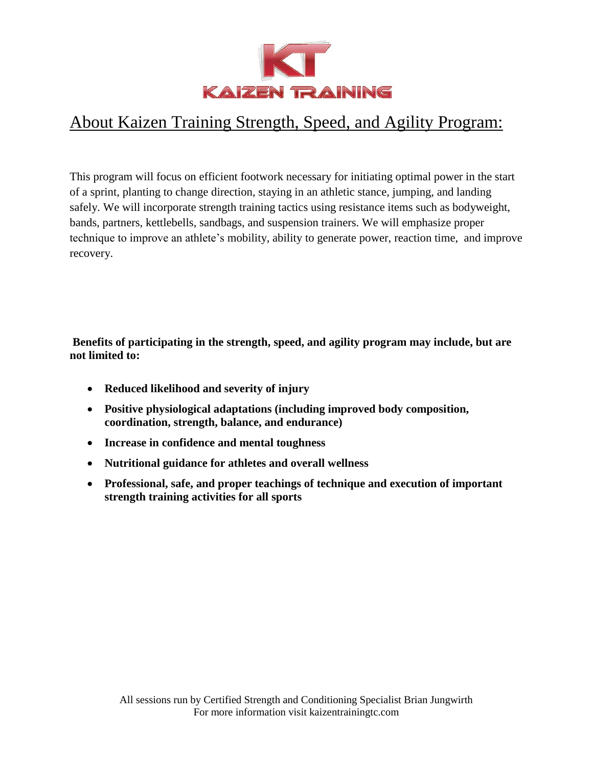

## About Kaizen Training Strength, Speed, and Agility Program:

This program will focus on efficient footwork necessary for initiating optimal power in the start of a sprint, planting to change direction, staying in an athletic stance, jumping, and landing safely. We will incorporate strength training tactics using resistance items such as bodyweight, bands, partners, kettlebells, sandbags, and suspension trainers. We will emphasize proper technique to improve an athlete's mobility, ability to generate power, reaction time, and improve recovery.

**Benefits of participating in the strength, speed, and agility program may include, but are not limited to:** 

- **Reduced likelihood and severity of injury**
- **Positive physiological adaptations (including improved body composition, coordination, strength, balance, and endurance)**
- **Increase in confidence and mental toughness**
- **Nutritional guidance for athletes and overall wellness**
- **Professional, safe, and proper teachings of technique and execution of important strength training activities for all sports**